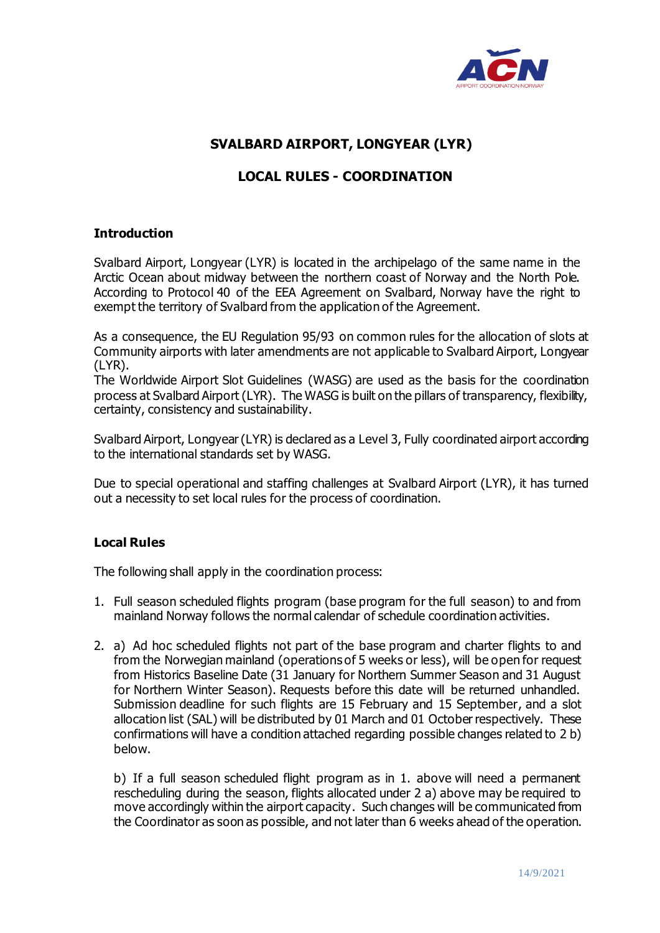

# **SVALBARD AIRPORT, LONGYEAR (LYR)**

# **LOCAL RULES - COORDINATION**

#### **Introduction**

Svalbard Airport, Longyear (LYR) is located in the archipelago of the same name in the Arctic Ocean about midway between the northern coast of Norway and the North Pole. According to Protocol 40 of the EEA Agreement on Svalbard, Norway have the right to exempt the territory of Svalbard from the application of the Agreement.

As a consequence, the EU Regulation 95/93 on common rules for the allocation of slots at Community airports with later amendments are not applicable to Svalbard Airport, Longyear (LYR).

The Worldwide Airport Slot Guidelines (WASG) are used as the basis for the coordination process at Svalbard Airport (LYR). The WASG is built on the pillars of transparency, flexibility, certainty, consistency and sustainability.

Svalbard Airport, Longyear (LYR) is declared as a Level 3, Fully coordinated airport according to the international standards set by WASG.

Due to special operational and staffing challenges at Svalbard Airport (LYR), it has turned out a necessity to set local rules for the process of coordination.

## **Local Rules**

The following shall apply in the coordination process:

- 1. Full season scheduled flights program (base program for the full season) to and from mainland Norway follows the normal calendar of schedule coordination activities.
- 2. a) Ad hoc scheduled flights not part of the base program and charter flights to and from the Norwegian mainland (operations of 5 weeks or less), will be open for request from Historics Baseline Date (31 January for Northern Summer Season and 31 August for Northern Winter Season). Requests before this date will be returned unhandled. Submission deadline for such flights are 15 February and 15 September, and a slot allocation list (SAL) will be distributed by 01 March and 01 October respectively. These confirmations will have a condition attached regarding possible changes related to 2 b) below.

b) If a full season scheduled flight program as in 1. above will need a permanent rescheduling during the season, flights allocated under 2 a) above may be required to move accordingly within the airport capacity. Such changes will be communicated from the Coordinator as soon as possible, and not later than 6 weeks ahead of the operation.